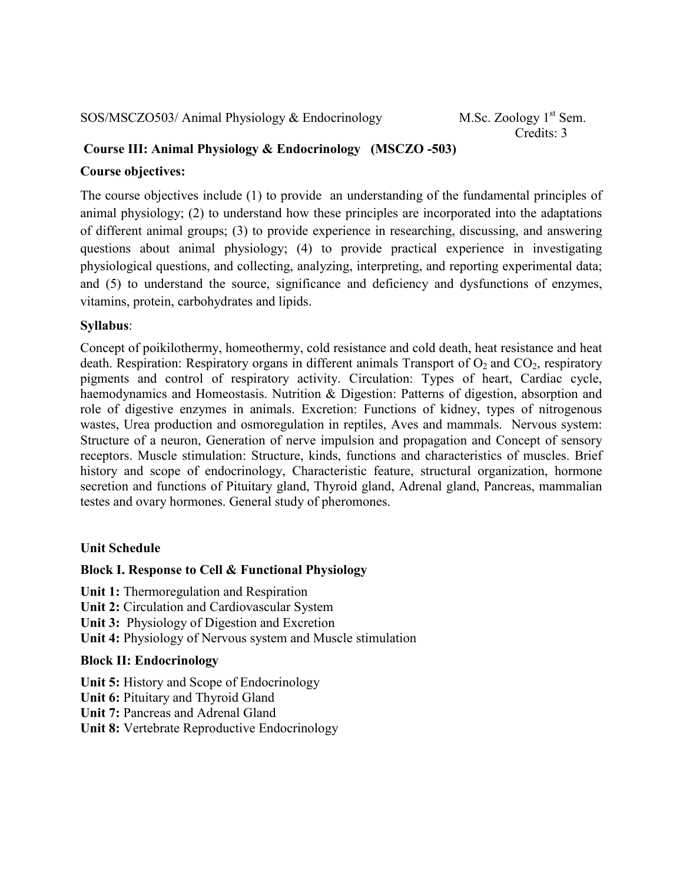SOS/MSCZO503/ Animal Physiology  $& Endocrinology$  M.Sc. Zoology 1<sup>st</sup> Sem.

Credits: 3

# **Course III: Animal Physiology & Endocrinology (MSCZO -503)**

### **Course objectives:**

The course objectives include (1) to provide an understanding of the fundamental principles of animal physiology; (2) to understand how these principles are incorporated into the adaptations of different animal groups; (3) to provide experience in researching, discussing, and answering questions about animal physiology; (4) to provide practical experience in investigating physiological questions, and collecting, analyzing, interpreting, and reporting experimental data; and (5) to understand the source, significance and deficiency and dysfunctions of enzymes, vitamins, protein, carbohydrates and lipids.

# **Syllabus**:

Concept of poikilothermy, homeothermy, cold resistance and cold death, heat resistance and heat death. Respiration: Respiratory organs in different animals Transport of  $O_2$  and  $CO_2$ , respiratory pigments and control of respiratory activity. Circulation: Types of heart, Cardiac cycle, haemodynamics and Homeostasis. Nutrition & Digestion: Patterns of digestion, absorption and role of digestive enzymes in animals. Excretion: Functions of kidney, types of nitrogenous wastes, Urea production and osmoregulation in reptiles, Aves and mammals. Nervous system: Structure of a neuron, Generation of nerve impulsion and propagation and Concept of sensory receptors. Muscle stimulation: Structure, kinds, functions and characteristics of muscles. Brief history and scope of endocrinology, Characteristic feature, structural organization, hormone secretion and functions of Pituitary gland, Thyroid gland, Adrenal gland, Pancreas, mammalian testes and ovary hormones. General study of pheromones.

# **Unit Schedule**

# **Block I. Response to Cell & Functional Physiology**

**Unit 1:** Thermoregulation and Respiration **Unit 2:** Circulation and Cardiovascular System **Unit 3:** Physiology of Digestion and Excretion

**Unit 4:** Physiology of Nervous system and Muscle stimulation

# **Block II: Endocrinology**

**Unit 5:** History and Scope of Endocrinology **Unit 6:** Pituitary and Thyroid Gland **Unit 7:** Pancreas and Adrenal Gland **Unit 8:** Vertebrate Reproductive Endocrinology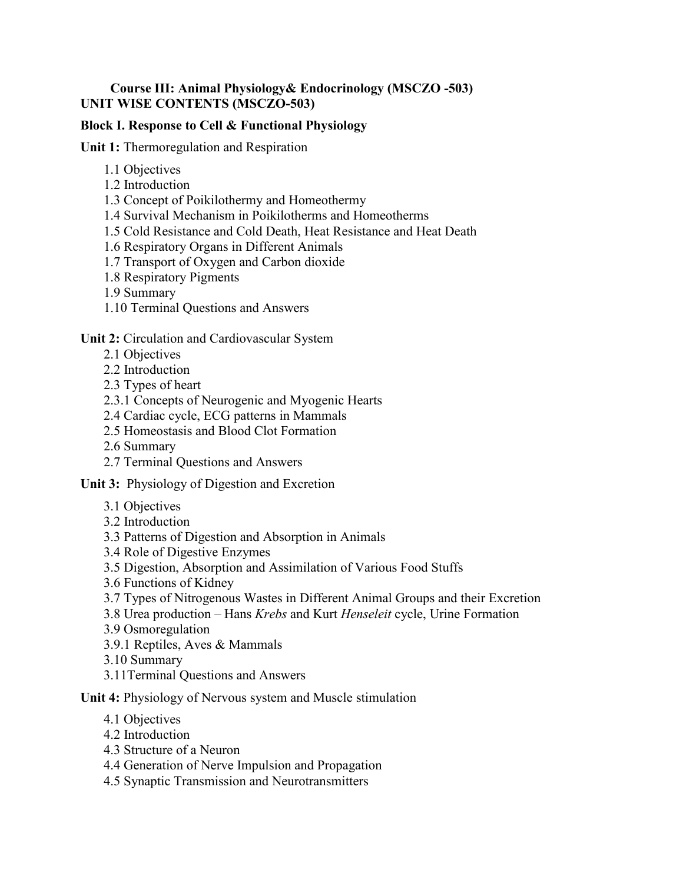### **Course III: Animal Physiology& Endocrinology (MSCZO -503) UNIT WISE CONTENTS (MSCZO-503)**

### **Block I. Response to Cell & Functional Physiology**

**Unit 1:** Thermoregulation and Respiration

- 1.1 Objectives
- 1.2 Introduction
- 1.3 Concept of Poikilothermy and Homeothermy
- 1.4 Survival Mechanism in Poikilotherms and Homeotherms
- 1.5 Cold Resistance and Cold Death, Heat Resistance and Heat Death
- 1.6 Respiratory Organs in Different Animals
- 1.7 Transport of Oxygen and Carbon dioxide
- 1.8 Respiratory Pigments
- 1.9 Summary
- 1.10 Terminal Questions and Answers

#### **Unit 2:** Circulation and Cardiovascular System

- 2.1 Objectives
- 2.2 Introduction
- 2.3 Types of heart
- 2.3.1 Concepts of Neurogenic and Myogenic Hearts
- 2.4 Cardiac cycle, ECG patterns in Mammals
- 2.5 Homeostasis and Blood Clot Formation
- 2.6 Summary
- 2.7 Terminal Questions and Answers

**Unit 3:** Physiology of Digestion and Excretion

- 3.1 Objectives
- 3.2 Introduction
- 3.3 Patterns of Digestion and Absorption in Animals
- 3.4 Role of Digestive Enzymes
- 3.5 Digestion, Absorption and Assimilation of Various Food Stuffs
- 3.6 Functions of Kidney
- 3.7 Types of Nitrogenous Wastes in Different Animal Groups and their Excretion
- 3.8 Urea production Hans *Krebs* and Kurt *Henseleit* cycle, Urine Formation
- 3.9 Osmoregulation
- 3.9.1 Reptiles, Aves & Mammals
- 3.10 Summary
- 3.11Terminal Questions and Answers

#### **Unit 4:** Physiology of Nervous system and Muscle stimulation

- 4.1 Objectives
- 4.2 Introduction
- 4.3 Structure of a Neuron
- 4.4 Generation of Nerve Impulsion and Propagation
- 4.5 Synaptic Transmission and Neurotransmitters